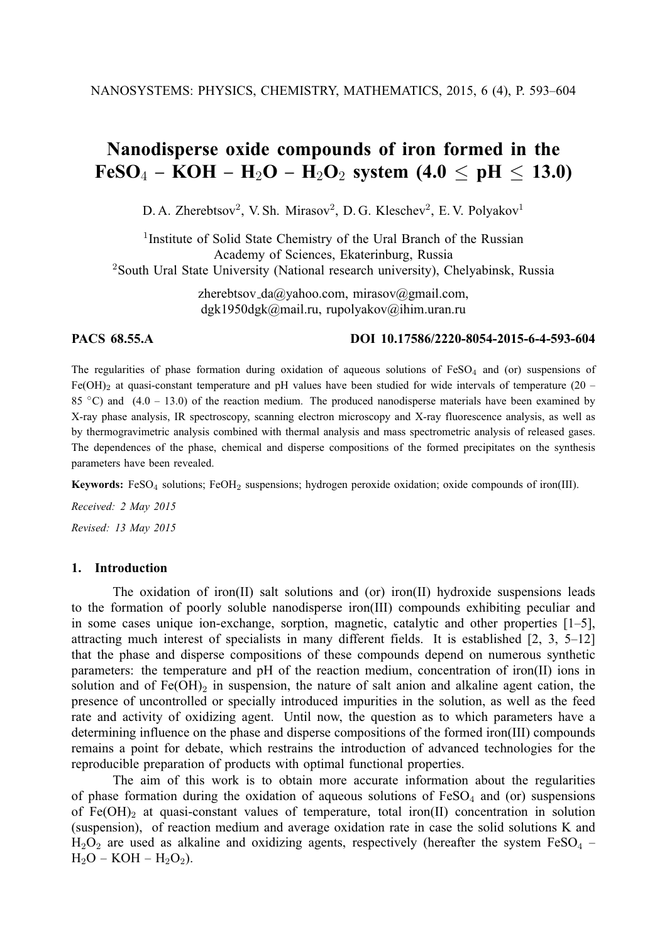# **Nanodisperse oxide compounds of iron formed in the**  $FeSO_4 - KOH - H_2O - H_2O_2$  system (4.0  $\leq$  pH  $\leq$  13.0)

D. A. Zherebtsov<sup>2</sup>, V. Sh. Mirasov<sup>2</sup>, D. G. Kleschev<sup>2</sup>, E. V. Polyakov<sup>1</sup>

<sup>1</sup> Institute of Solid State Chemistry of the Ural Branch of the Russian Academy of Sciences, Ekaterinburg, Russia <sup>2</sup>South Ural State University (National research university), Chelyabinsk, Russia

> zherebtsov da@yahoo.com, mirasov@gmail.com, dgk1950dgk@mail.ru, rupolyakov@ihim.uran.ru

# **PACS 68.55.A DOI 10.17586/2220-8054-2015-6-4-593-604**

The regularities of phase formation during oxidation of aqueous solutions of  $FeSO<sub>4</sub>$  and (or) suspensions of Fe(OH)<sub>2</sub> at quasi-constant temperature and pH values have been studied for wide intervals of temperature (20 – 85  $\degree$ C) and (4.0 – 13.0) of the reaction medium. The produced nanodisperse materials have been examined by X-ray phase analysis, IR spectroscopy, scanning electron microscopy and X-ray fluorescence analysis, as well as by thermogravimetric analysis combined with thermal analysis and mass spectrometric analysis of released gases. The dependences of the phase, chemical and disperse compositions of the formed precipitates on the synthesis parameters have been revealed.

**Keywords:** FeSO<sub>4</sub> solutions; FeOH<sub>2</sub> suspensions; hydrogen peroxide oxidation; oxide compounds of iron(III).

*Received: 2 May 2015*

*Revised: 13 May 2015*

# **1. Introduction**

The oxidation of iron(II) salt solutions and (or) iron(II) hydroxide suspensions leads to the formation of poorly soluble nanodisperse iron(III) compounds exhibiting peculiar and in some cases unique ion-exchange, sorption, magnetic, catalytic and other properties [1–5], attracting much interest of specialists in many different fields. It is established [2, 3, 5–12] that the phase and disperse compositions of these compounds depend on numerous synthetic parameters: the temperature and pH of the reaction medium, concentration of iron(II) ions in solution and of  $Fe(OH)_2$  in suspension, the nature of salt anion and alkaline agent cation, the presence of uncontrolled or specially introduced impurities in the solution, as well as the feed rate and activity of oxidizing agent. Until now, the question as to which parameters have a determining influence on the phase and disperse compositions of the formed iron(III) compounds remains a point for debate, which restrains the introduction of advanced technologies for the reproducible preparation of products with optimal functional properties.

The aim of this work is to obtain more accurate information about the regularities of phase formation during the oxidation of aqueous solutions of  $FeSO<sub>4</sub>$  and (or) suspensions of  $Fe(OH)_2$  at quasi-constant values of temperature, total iron(II) concentration in solution (suspension), of reaction medium and average oxidation rate in case the solid solutions K and  $H_2O_2$  are used as alkaline and oxidizing agents, respectively (hereafter the system FeSO<sub>4</sub> –  $H<sub>2</sub>O - KOH - H<sub>2</sub>O<sub>2</sub>$ ).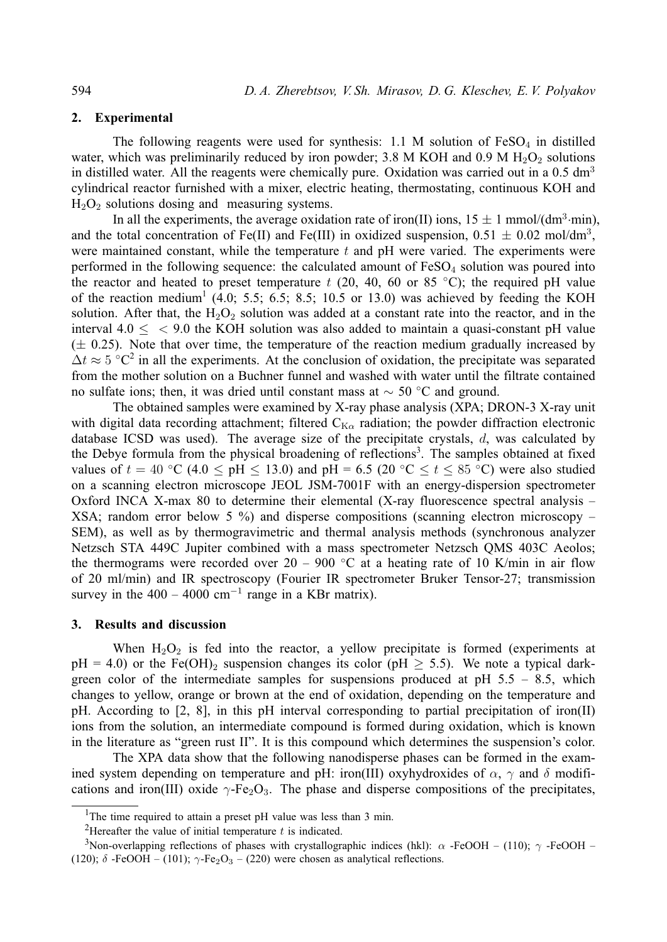# **2. Experimental**

The following reagents were used for synthesis:  $1.1$  M solution of FeSO<sub>4</sub> in distilled water, which was preliminarily reduced by iron powder; 3.8 M KOH and 0.9 M  $H_2O_2$  solutions in distilled water. All the reagents were chemically pure. Oxidation was carried out in a  $0.5 \text{ dm}^3$ cylindrical reactor furnished with a mixer, electric heating, thermostating, continuous KOH and  $H<sub>2</sub>O<sub>2</sub>$  solutions dosing and measuring systems.

In all the experiments, the average oxidation rate of iron(II) ions,  $15 \pm 1$  mmol/(dm<sup>3</sup>·min), and the total concentration of Fe(II) and Fe(III) in oxidized suspension,  $0.51 \pm 0.02$  mol/dm<sup>3</sup>, were maintained constant, while the temperature  $t$  and  $p$ H were varied. The experiments were performed in the following sequence: the calculated amount of  $FeSO<sub>4</sub>$  solution was poured into the reactor and heated to preset temperature t (20, 40, 60 or 85 °C); the required pH value of the reaction medium<sup>1</sup> (4.0; 5.5; 6.5; 8.5; 10.5 or 13.0) was achieved by feeding the KOH solution. After that, the  $H_2O_2$  solution was added at a constant rate into the reactor, and in the interval  $4.0 <$  < 9.0 the KOH solution was also added to maintain a quasi-constant pH value  $(\pm 0.25)$ . Note that over time, the temperature of the reaction medium gradually increased by  $\Delta t \approx 5$  °C<sup>2</sup> in all the experiments. At the conclusion of oxidation, the precipitate was separated from the mother solution on a Buchner funnel and washed with water until the filtrate contained no sulfate ions; then, it was dried until constant mass at  $\sim$  50 °C and ground.

The obtained samples were examined by X-ray phase analysis (XPA; DRON-3 X-ray unit with digital data recording attachment; filtered  $C_{K\alpha}$  radiation; the powder diffraction electronic database ICSD was used). The average size of the precipitate crystals,  $d$ , was calculated by the Debye formula from the physical broadening of reflections<sup>3</sup>. The samples obtained at fixed values of  $t = 40$  °C (4.0 < pH < 13.0) and pH = 6.5 (20 °C <  $t$  < 85 °C) were also studied on a scanning electron microscope JEOL JSM-7001F with an energy-dispersion spectrometer Oxford INCA X-max 80 to determine their elemental (X-ray fluorescence spectral analysis – XSA; random error below 5 %) and disperse compositions (scanning electron microscopy – SEM), as well as by thermogravimetric and thermal analysis methods (synchronous analyzer Netzsch STA 449C Jupiter combined with a mass spectrometer Netzsch QMS 403C Aeolos; the thermograms were recorded over  $20 - 900$  °C at a heating rate of 10 K/min in air flow of 20 ml/min) and IR spectroscopy (Fourier IR spectrometer Bruker Tensor-27; transmission survey in the  $400 - 4000$  cm<sup>-1</sup> range in a KBr matrix).

### **3. Results and discussion**

When  $H_2O_2$  is fed into the reactor, a yellow precipitate is formed (experiments at  $pH = 4.0$ ) or the Fe(OH)<sub>2</sub> suspension changes its color ( $pH \ge 5.5$ ). We note a typical darkgreen color of the intermediate samples for suspensions produced at  $pH$  5.5 – 8.5, which changes to yellow, orange or brown at the end of oxidation, depending on the temperature and pH. According to [2, 8], in this pH interval corresponding to partial precipitation of iron(II) ions from the solution, an intermediate compound is formed during oxidation, which is known in the literature as "green rust II". It is this compound which determines the suspension's color.

The XPA data show that the following nanodisperse phases can be formed in the examined system depending on temperature and pH: iron(III) oxyhydroxides of  $\alpha$ ,  $\gamma$  and  $\delta$  modifications and iron(III) oxide  $\gamma$ -Fe<sub>2</sub>O<sub>3</sub>. The phase and disperse compositions of the precipitates,

<sup>&</sup>lt;sup>1</sup>The time required to attain a preset pH value was less than  $3$  min.

<sup>&</sup>lt;sup>2</sup>Hereafter the value of initial temperature  $t$  is indicated.

<sup>&</sup>lt;sup>3</sup>Non-overlapping reflections of phases with crystallographic indices (hkl):  $\alpha$ -FeOOH – (110);  $\gamma$ -FeOOH – (120);  $\delta$  -FeOOH – (101);  $\gamma$ -Fe<sub>2</sub>O<sub>3</sub> – (220) were chosen as analytical reflections.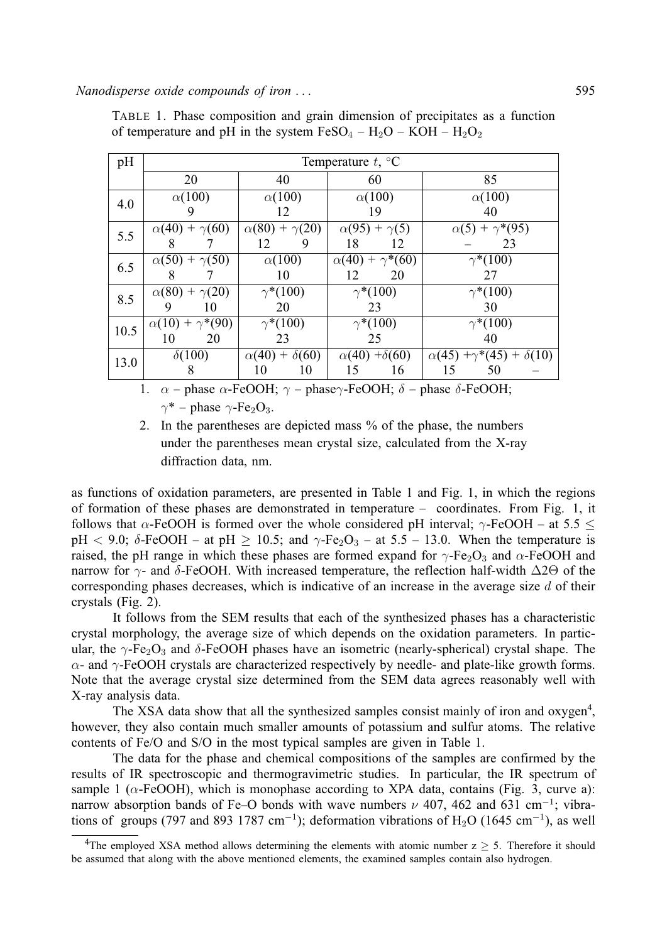*Nanodisperse oxide compounds of iron . . .* 595

| pH   | Temperature $t, \,^{\circ}C$ |                           |                            |                                          |  |  |  |  |  |  |  |
|------|------------------------------|---------------------------|----------------------------|------------------------------------------|--|--|--|--|--|--|--|
|      | 20                           | 40                        | 60                         | 85                                       |  |  |  |  |  |  |  |
| 4.0  | $\alpha(100)$                | $\alpha(100)$             | $\alpha(100)$              | $\alpha(100)$                            |  |  |  |  |  |  |  |
|      | 9                            | 12                        | 19                         | 40                                       |  |  |  |  |  |  |  |
| 5.5  | $\alpha(40) + \gamma(60)$    | $\alpha(80) + \gamma(20)$ | $\alpha(95) + \gamma(5)$   | $\alpha(5) + \gamma^*(95)$               |  |  |  |  |  |  |  |
|      | 8                            | 9<br>12                   | 18<br>12                   | 23                                       |  |  |  |  |  |  |  |
| 6.5  | $\alpha(50) + \gamma(50)$    | $\alpha(100)$             | $\alpha(40) + \gamma*(60)$ | $\gamma^*(100)$                          |  |  |  |  |  |  |  |
|      | 8                            | 10                        | 20<br>12                   | 27                                       |  |  |  |  |  |  |  |
| 8.5  | $\alpha(80) + \gamma(20)$    | $\gamma^*(100)$           | $\gamma^*(100)$            | $\gamma^*(100)$                          |  |  |  |  |  |  |  |
|      | 9<br>10                      | 20                        | 23                         | 30                                       |  |  |  |  |  |  |  |
| 10.5 | $\alpha(10) + \gamma*(90)$   | $\gamma^*(100)$           | $\gamma^*(100)$            | $\gamma^*(100)$                          |  |  |  |  |  |  |  |
|      | 20<br>10                     | 23                        | 25                         | 40                                       |  |  |  |  |  |  |  |
| 13.0 | $\delta(100)$                | $\alpha(40) + \delta(60)$ | $\alpha(40) + \delta(60)$  | $\alpha(45) + \gamma^*(45) + \delta(10)$ |  |  |  |  |  |  |  |
|      | 8                            | 10<br>10                  | 15<br>16                   | 15<br>50                                 |  |  |  |  |  |  |  |

TABLE 1. Phase composition and grain dimension of precipitates as a function of temperature and pH in the system  $FeSO_4 - H_2O - KOH - H_2O_2$ 

1.  $\alpha$  – phase  $\alpha$ -FeOOH;  $\gamma$  – phase $\gamma$ -FeOOH;  $\delta$  – phase  $\delta$ -FeOOH;  $\gamma^*$  – phase  $\gamma$ -Fe<sub>2</sub>O<sub>3</sub>.

2. In the parentheses are depicted mass % of the phase, the numbers under the parentheses mean crystal size, calculated from the X-ray diffraction data, nm.

as functions of oxidation parameters, are presented in Table 1 and Fig. 1, in which the regions of formation of these phases are demonstrated in temperature – coordinates. From Fig. 1, it follows that  $\alpha$ -FeOOH is formed over the whole considered pH interval;  $\gamma$ -FeOOH – at 5.5 < pH < 9.0;  $\delta$ -FeOOH – at pH  $\geq$  10.5; and  $\gamma$ -Fe<sub>2</sub>O<sub>3</sub> – at 5.5 – 13.0. When the temperature is raised, the pH range in which these phases are formed expand for  $\gamma$ -Fe<sub>2</sub>O<sub>3</sub> and  $\alpha$ -FeOOH and narrow for  $\gamma$ - and δ-FeOOH. With increased temperature, the reflection half-width  $\Delta$ 2Θ of the corresponding phases decreases, which is indicative of an increase in the average size  $d$  of their crystals (Fig. 2).

It follows from the SEM results that each of the synthesized phases has a characteristic crystal morphology, the average size of which depends on the oxidation parameters. In particular, the  $\gamma$ -Fe<sub>2</sub>O<sub>3</sub> and  $\delta$ -FeOOH phases have an isometric (nearly-spherical) crystal shape. The  $\alpha$ - and  $\gamma$ -FeOOH crystals are characterized respectively by needle- and plate-like growth forms. Note that the average crystal size determined from the SEM data agrees reasonably well with X-ray analysis data.

The XSA data show that all the synthesized samples consist mainly of iron and oxygen<sup>4</sup>, however, they also contain much smaller amounts of potassium and sulfur atoms. The relative contents of Fe/O and S/O in the most typical samples are given in Table 1.

The data for the phase and chemical compositions of the samples are confirmed by the results of IR spectroscopic and thermogravimetric studies. In particular, the IR spectrum of sample 1 ( $\alpha$ -FeOOH), which is monophase according to XPA data, contains (Fig. 3, curve a): narrow absorption bands of Fe–O bonds with wave numbers  $\nu$  407, 462 and 631 cm<sup>-1</sup>; vibrations of groups (797 and 893 1787 cm<sup>-1</sup>); deformation vibrations of H<sub>2</sub>O (1645 cm<sup>-1</sup>), as well

<sup>&</sup>lt;sup>4</sup>The employed XSA method allows determining the elements with atomic number  $z \geq 5$ . Therefore it should be assumed that along with the above mentioned elements, the examined samples contain also hydrogen.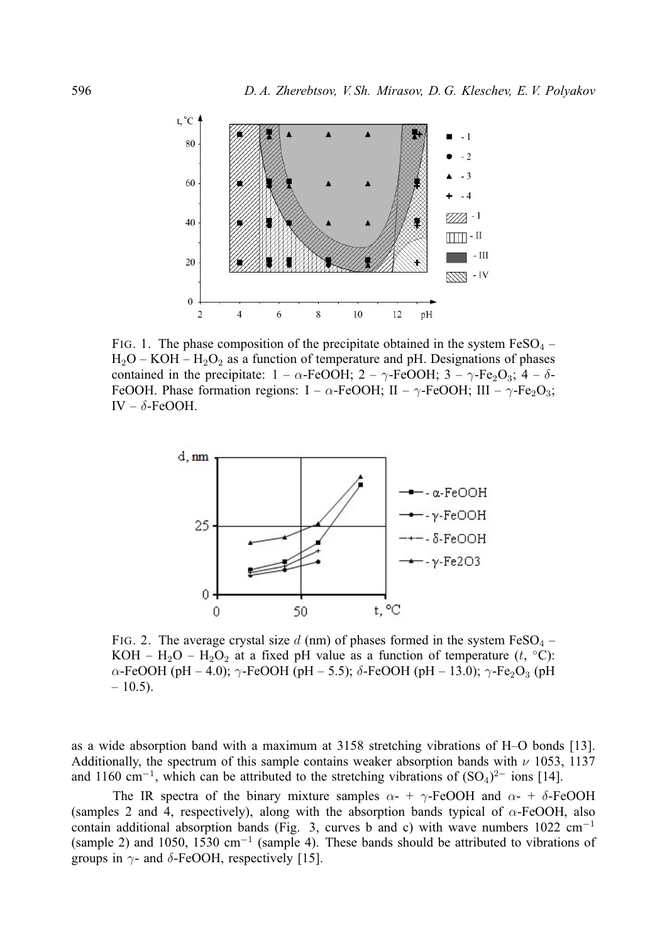

FIG. 1. The phase composition of the precipitate obtained in the system  $FeSO<sub>4</sub>$  –  $H_2O - KOH - H_2O_2$  as a function of temperature and pH. Designations of phases contained in the precipitate:  $1 - \alpha$ -FeOOH;  $2 - \gamma$ -FeOOH;  $3 - \gamma$ -Fe<sub>2</sub>O<sub>3</sub>;  $4 - \delta$ -FeOOH. Phase formation regions: I –  $\alpha$ -FeOOH; II –  $\gamma$ -FeOOH; III –  $\gamma$ -Fe<sub>2</sub>O<sub>3</sub>; IV –  $\delta$ -FeOOH.



FIG. 2. The average crystal size d (nm) of phases formed in the system  $FeSO<sub>4</sub>$  – KOH –  $H_2O - H_2O_2$  at a fixed pH value as a function of temperature  $(t, {}^{\circ}C)$ :  $\alpha$ -FeOOH (pH – 4.0);  $\gamma$ -FeOOH (pH – 5.5); δ-FeOOH (pH – 13.0);  $\gamma$ -Fe<sub>2</sub>O<sub>3</sub> (pH  $-10.5$ ).

as a wide absorption band with a maximum at 3158 stretching vibrations of H–O bonds [13]. Additionally, the spectrum of this sample contains weaker absorption bands with  $\nu$  1053, 1137 and 1160 cm<sup>-1</sup>, which can be attributed to the stretching vibrations of  $(SO<sub>4</sub>)<sup>2−</sup>$  ions [14].

The IR spectra of the binary mixture samples  $\alpha$ - +  $\gamma$ -FeOOH and  $\alpha$ - +  $\delta$ -FeOOH (samples 2 and 4, respectively), along with the absorption bands typical of  $\alpha$ -FeOOH, also contain additional absorption bands (Fig. 3, curves b and c) with wave numbers  $1022 \text{ cm}^{-1}$ (sample 2) and 1050, 1530 cm<sup>-1</sup> (sample 4). These bands should be attributed to vibrations of groups in  $\gamma$ - and  $\delta$ -FeOOH, respectively [15].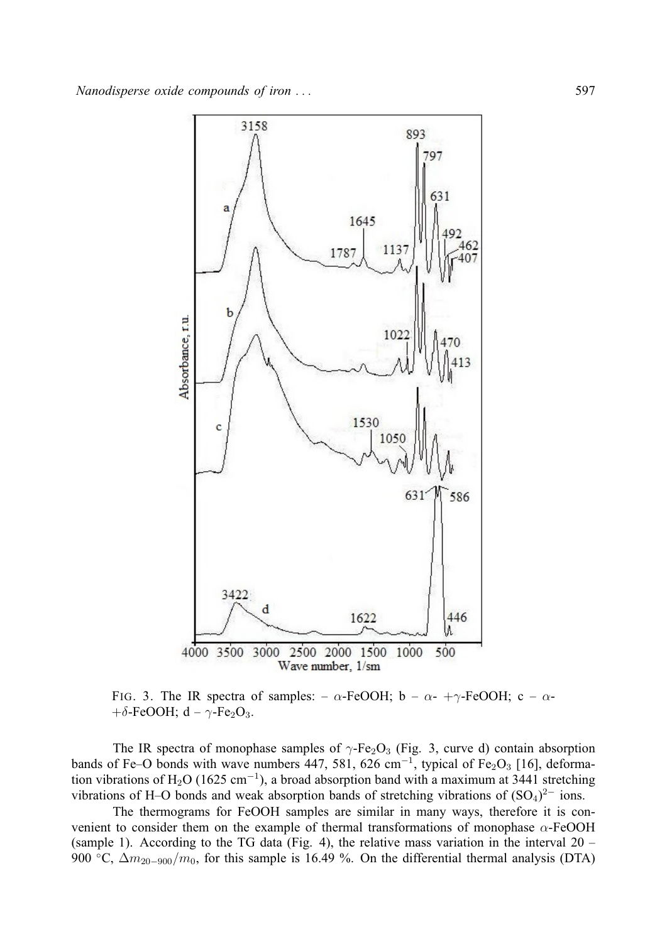

FIG. 3. The IR spectra of samples: –  $\alpha$ -FeOOH; b –  $\alpha$ - + $\gamma$ -FeOOH; c –  $\alpha$ - $+\delta$ -FeOOH; d –  $\gamma$ -Fe<sub>2</sub>O<sub>3</sub>.

The IR spectra of monophase samples of  $\gamma$ -Fe<sub>2</sub>O<sub>3</sub> (Fig. 3, curve d) contain absorption bands of Fe–O bonds with wave numbers 447, 581, 626 cm<sup>-1</sup>, typical of Fe<sub>2</sub>O<sub>3</sub> [16], deformation vibrations of H<sub>2</sub>O (1625 cm<sup>-1</sup>), a broad absorption band with a maximum at 3441 stretching vibrations of H–O bonds and weak absorption bands of stretching vibrations of  $(SO<sub>4</sub>)<sup>2−</sup>$  ions.

The thermograms for FeOOH samples are similar in many ways, therefore it is convenient to consider them on the example of thermal transformations of monophase  $\alpha$ -FeOOH (sample 1). According to the TG data (Fig. 4), the relative mass variation in the interval 20 – 900 °C,  $\Delta m_{20-900}/m_0$ , for this sample is 16.49 %. On the differential thermal analysis (DTA)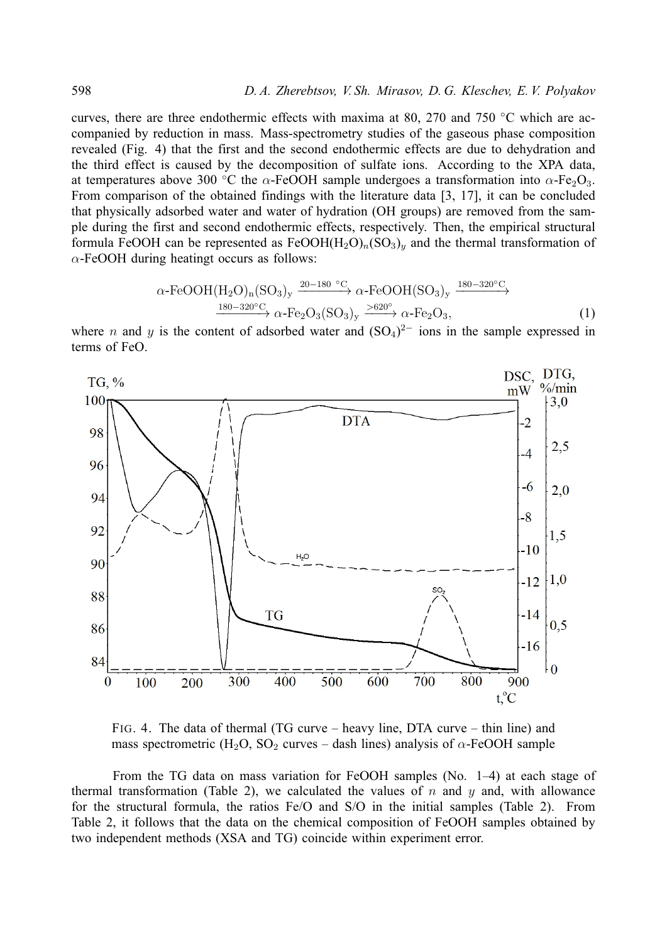#### 598 *D. A. Zherebtsov, V. Sh. Mirasov, D. G. Kleschev, E. V. Polyakov*

curves, there are three endothermic effects with maxima at 80, 270 and 750  $\degree$ C which are accompanied by reduction in mass. Mass-spectrometry studies of the gaseous phase composition revealed (Fig. 4) that the first and the second endothermic effects are due to dehydration and the third effect is caused by the decomposition of sulfate ions. According to the XPA data, at temperatures above 300 °C the  $\alpha$ -FeOOH sample undergoes a transformation into  $\alpha$ -Fe<sub>2</sub>O<sub>3</sub>. From comparison of the obtained findings with the literature data [3, 17], it can be concluded that physically adsorbed water and water of hydration (OH groups) are removed from the sample during the first and second endothermic effects, respectively. Then, the empirical structural formula FeOOH can be represented as  $FeOOH(H_2O)<sub>n</sub>(SO<sub>3</sub>)<sub>n</sub>$  and the thermal transformation of  $\alpha$ -FeOOH during heatingt occurs as follows:

$$
\alpha\text{-FeOOH}(H_2O)_n(SO_3)_y \xrightarrow{20-180^\circ C} \alpha\text{-FeOOH}(SO_3)_y \xrightarrow{180-320^\circ C} \alpha\text{-FeOOH}(SO_3)_y \xrightarrow{180-320^\circ C} \alpha\text{-Fe}_2O_3(SO_3)_y \xrightarrow{>620^\circ} \alpha\text{-Fe}_2O_3,
$$
 (1)

where *n* and *y* is the content of adsorbed water and  $(SO<sub>4</sub>)<sup>2−</sup>$  ions in the sample expressed in terms of FeO.



FIG. 4. The data of thermal (TG curve – heavy line, DTA curve – thin line) and mass spectrometric (H<sub>2</sub>O, SO<sub>2</sub> curves – dash lines) analysis of  $\alpha$ -FeOOH sample

From the TG data on mass variation for FeOOH samples (No. 1–4) at each stage of thermal transformation (Table 2), we calculated the values of  $n$  and  $y$  and, with allowance for the structural formula, the ratios Fe/O and S/O in the initial samples (Table 2). From Table 2, it follows that the data on the chemical composition of FeOOH samples obtained by two independent methods (XSA and TG) coincide within experiment error.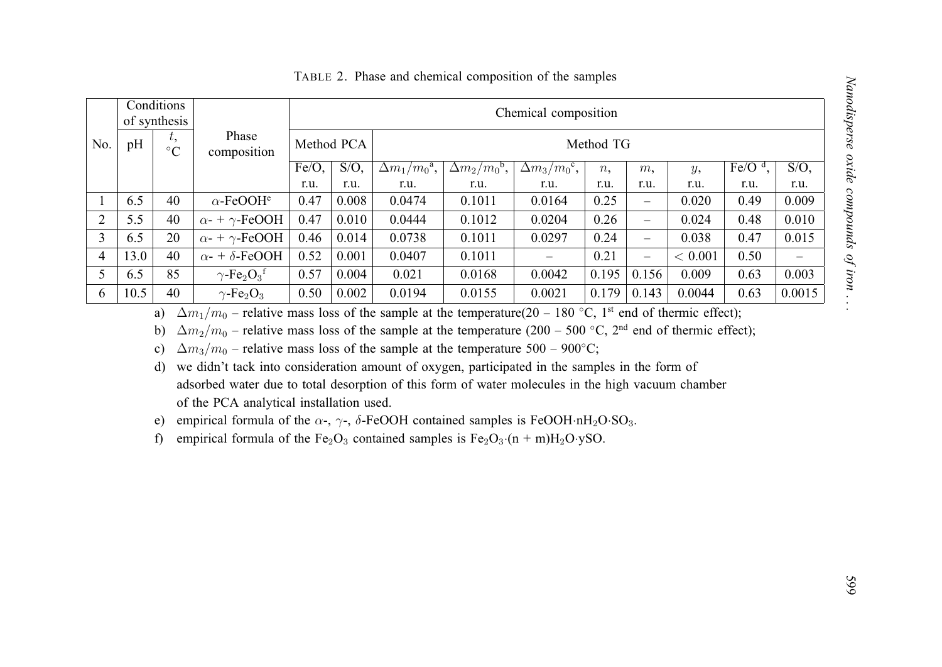|                |      | Conditions<br>of synthesis |                                                                                                                                                                                                                                                                                                                                                                                                                                                                      |                         | Chemical composition |                      |                                  |                                   |       |                          |                                                                                                                             |                 |                    |
|----------------|------|----------------------------|----------------------------------------------------------------------------------------------------------------------------------------------------------------------------------------------------------------------------------------------------------------------------------------------------------------------------------------------------------------------------------------------------------------------------------------------------------------------|-------------------------|----------------------|----------------------|----------------------------------|-----------------------------------|-------|--------------------------|-----------------------------------------------------------------------------------------------------------------------------|-----------------|--------------------|
| No.            | pH   | t,<br>$\rm ^{\circ}C$      | Phase<br>composition                                                                                                                                                                                                                                                                                                                                                                                                                                                 | Method PCA<br>Method TG |                      |                      |                                  |                                   |       |                          |                                                                                                                             |                 |                    |
|                |      |                            |                                                                                                                                                                                                                                                                                                                                                                                                                                                                      | $Fe/O$ ,                | $\overline{S/O}$ ,   | $\Delta m_1/m_0^2$ , | $\Delta m_2 \overline{/m_0^b}$ , | $\Delta m_3/m_0^{\overline{c}}$ , | n,    | m,                       | y,                                                                                                                          | Fe/O $\rm ^d$ , | $\overline{S/O}$ , |
|                |      |                            |                                                                                                                                                                                                                                                                                                                                                                                                                                                                      | r.u.                    | r.u.                 | r.u.                 | r.u.                             | r.u.                              | r.u.  | r.u.                     | r.u.                                                                                                                        | r.u.            | r.u.               |
| $\mathbf{1}$   | 6.5  | 40                         | $\alpha$ -FeOOH <sup>e</sup>                                                                                                                                                                                                                                                                                                                                                                                                                                         | 0.47                    | 0.008                | 0.0474               | 0.1011                           | 0.0164                            | 0.25  | $\qquad \qquad -$        | 0.020                                                                                                                       | 0.49            | 0.009              |
| $\overline{2}$ | 5.5  | 40                         | $\alpha$ - + $\gamma$ -FeOOH                                                                                                                                                                                                                                                                                                                                                                                                                                         | 0.47                    | 0.010                | 0.0444               | 0.1012                           | 0.0204                            | 0.26  | $\overline{\phantom{0}}$ | 0.024                                                                                                                       | 0.48            | 0.010              |
| $\overline{3}$ | 6.5  | 20                         | $\alpha$ - + $\gamma$ -FeOOH                                                                                                                                                                                                                                                                                                                                                                                                                                         | 0.46                    | 0.014                | 0.0738               | 0.1011                           | 0.0297                            | 0.24  | $\overline{\phantom{0}}$ | 0.038                                                                                                                       | 0.47            | 0.015              |
| $\overline{4}$ | 13.0 | 40                         | $\alpha$ - + $\delta$ -FeOOH                                                                                                                                                                                                                                                                                                                                                                                                                                         | 0.52                    | 0.001                | 0.0407               | 0.1011                           |                                   | 0.21  | $\overline{\phantom{0}}$ | < 0.001                                                                                                                     | 0.50            |                    |
| 5              | 6.5  | 85                         | $\gamma$ -Fe <sub>2</sub> O <sub>3</sub> <sup>f</sup>                                                                                                                                                                                                                                                                                                                                                                                                                | 0.57                    | 0.004                | 0.021                | 0.0168                           | 0.0042                            | 0.195 | 0.156                    | 0.009                                                                                                                       | 0.63            | 0.003              |
| 6              | 10.5 | 40                         | $\gamma$ -Fe <sub>2</sub> O <sub>3</sub>                                                                                                                                                                                                                                                                                                                                                                                                                             | 0.50                    | 0.002                | 0.0194               | 0.0155                           | 0.0021                            | 0.179 | 0.143                    | 0.0044                                                                                                                      | 0.63            | 0.0015             |
|                |      | b)<br>$\mathbf{c})$        | $\Delta m_2/m_0$ – relative mass loss of the sample at the temperature (200 – 500 °C, 2 <sup>nd</sup> end of thermic effect);<br>$\Delta m_3/m_0$ – relative mass loss of the sample at the temperature 500 – 900°C;                                                                                                                                                                                                                                                 |                         |                      |                      |                                  |                                   |       |                          | $\Delta m_1/m_0$ – relative mass loss of the sample at the temperature(20 – 180 °C, 1 <sup>st</sup> end of thermic effect); |                 |                    |
|                |      | d)<br>e)<br>f              | we didn't tack into consideration amount of oxygen, participated in the samples in the form of<br>adsorbed water due to total desorption of this form of water molecules in the high vacuum chamber<br>of the PCA analytical installation used.<br>empirical formula of the $\alpha$ -, $\gamma$ -, $\delta$ -FeOOH contained samples is FeOOH·nH <sub>2</sub> O·SO <sub>3</sub> .<br>empirical formula of the $Fe2O3$ contained samples is $Fe2O3·(n + m)H2O·ySO$ . |                         |                      |                      |                                  |                                   |       |                          |                                                                                                                             |                 |                    |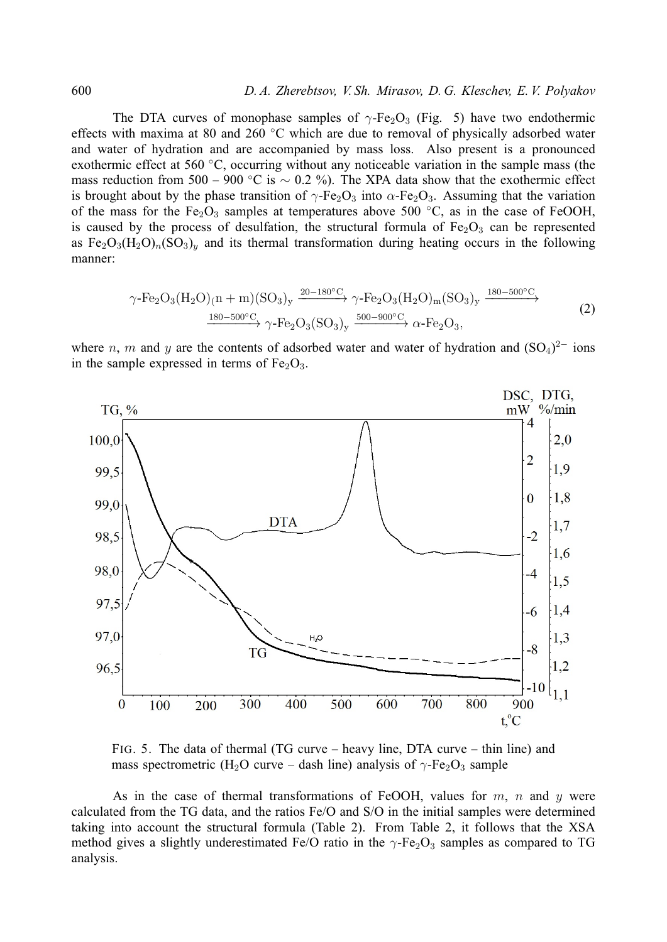The DTA curves of monophase samples of  $\gamma$ -Fe<sub>2</sub>O<sub>3</sub> (Fig. 5) have two endothermic effects with maxima at 80 and 260 ◦C which are due to removal of physically adsorbed water and water of hydration and are accompanied by mass loss. Also present is a pronounced exothermic effect at 560 ◦C, occurring without any noticeable variation in the sample mass (the mass reduction from 500 – 900 °C is  $\sim$  0.2 %). The XPA data show that the exothermic effect is brought about by the phase transition of  $\gamma$ -Fe<sub>2</sub>O<sub>3</sub> into  $\alpha$ -Fe<sub>2</sub>O<sub>3</sub>. Assuming that the variation of the mass for the Fe<sub>2</sub>O<sub>3</sub> samples at temperatures above 500 °C, as in the case of FeOOH, is caused by the process of desulfation, the structural formula of  $Fe<sub>2</sub>O<sub>3</sub>$  can be represented as  $Fe<sub>2</sub>O<sub>3</sub>(H<sub>2</sub>O)<sub>n</sub>(SO<sub>3</sub>)<sub>y</sub>$  and its thermal transformation during heating occurs in the following manner:

$$
\gamma \text{-Fe}_2\text{O}_3(\text{H}_2\text{O})_{(n+m)}(\text{SO}_3)_y \xrightarrow{20-180^\circ\text{C}} \gamma \text{-Fe}_2\text{O}_3(\text{H}_2\text{O})_{m}(\text{SO}_3)_y \xrightarrow{180-500^\circ\text{C}} (2)
$$
  

$$
\xrightarrow{180-500^\circ\text{C}} \gamma \text{-Fe}_2\text{O}_3(\text{SO}_3)_y \xrightarrow{500-900^\circ\text{C}} \alpha \text{-Fe}_2\text{O}_3,
$$

where n, m and y are the contents of adsorbed water and water of hydration and  $(SO<sub>4</sub>)<sup>2−</sup>$  ions in the sample expressed in terms of  $Fe<sub>2</sub>O<sub>3</sub>$ .



FIG. 5. The data of thermal (TG curve – heavy line, DTA curve – thin line) and mass spectrometric (H<sub>2</sub>O curve – dash line) analysis of  $\gamma$ -Fe<sub>2</sub>O<sub>3</sub> sample

As in the case of thermal transformations of FeOOH, values for  $m$ ,  $n$  and  $y$  were calculated from the TG data, and the ratios Fe/O and S/O in the initial samples were determined taking into account the structural formula (Table 2). From Table 2, it follows that the XSA method gives a slightly underestimated Fe/O ratio in the  $\gamma$ -Fe<sub>2</sub>O<sub>3</sub> samples as compared to TG analysis.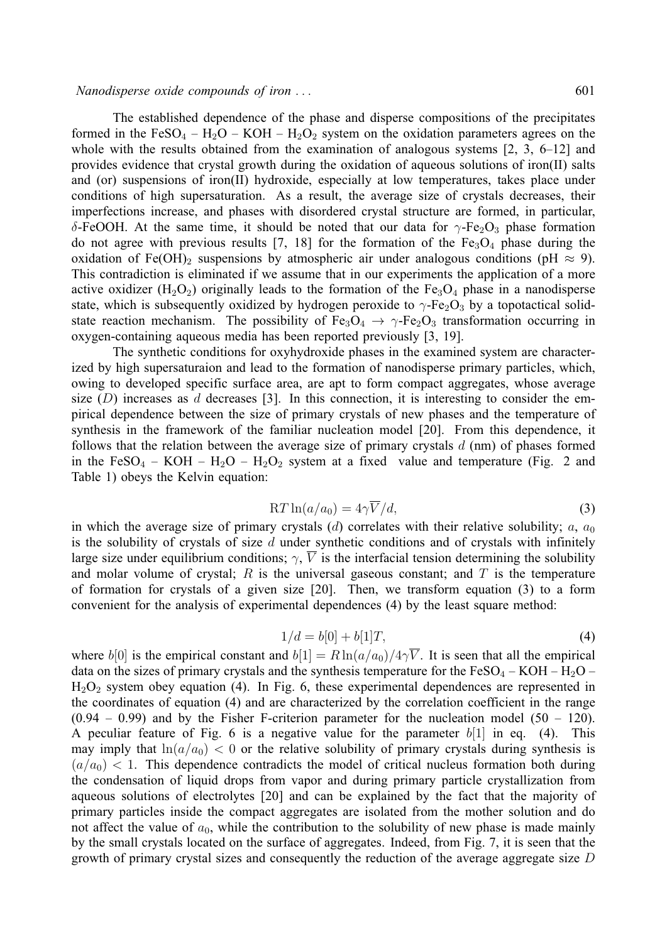### *Nanodisperse oxide compounds of iron . . .* 601

The established dependence of the phase and disperse compositions of the precipitates formed in the FeSO<sub>4</sub> – H<sub>2</sub>O – KOH – H<sub>2</sub>O<sub>2</sub> system on the oxidation parameters agrees on the whole with the results obtained from the examination of analogous systems [2, 3, 6–12] and provides evidence that crystal growth during the oxidation of aqueous solutions of iron(II) salts and (or) suspensions of iron(II) hydroxide, especially at low temperatures, takes place under conditions of high supersaturation. As a result, the average size of crystals decreases, their imperfections increase, and phases with disordered crystal structure are formed, in particular, δ-FeOOH. At the same time, it should be noted that our data for  $\gamma$ -Fe<sub>2</sub>O<sub>3</sub> phase formation do not agree with previous results [7, 18] for the formation of the  $Fe<sub>3</sub>O<sub>4</sub>$  phase during the oxidation of Fe(OH)<sub>2</sub> suspensions by atmospheric air under analogous conditions (pH  $\approx$  9). This contradiction is eliminated if we assume that in our experiments the application of a more active oxidizer  $(H_2O_2)$  originally leads to the formation of the Fe<sub>3</sub>O<sub>4</sub> phase in a nanodisperse state, which is subsequently oxidized by hydrogen peroxide to  $\gamma$ -Fe<sub>2</sub>O<sub>3</sub> by a topotactical solidstate reaction mechanism. The possibility of Fe<sub>3</sub>O<sub>4</sub>  $\rightarrow \gamma$ -Fe<sub>2</sub>O<sub>3</sub> transformation occurring in oxygen-containing aqueous media has been reported previously [3, 19].

The synthetic conditions for oxyhydroxide phases in the examined system are characterized by high supersaturaion and lead to the formation of nanodisperse primary particles, which, owing to developed specific surface area, are apt to form compact aggregates, whose average size  $(D)$  increases as d decreases [3]. In this connection, it is interesting to consider the empirical dependence between the size of primary crystals of new phases and the temperature of synthesis in the framework of the familiar nucleation model [20]. From this dependence, it follows that the relation between the average size of primary crystals  $d$  (nm) of phases formed in the FeSO<sub>4</sub> – KOH – H<sub>2</sub>O – H<sub>2</sub>O<sub>2</sub> system at a fixed value and temperature (Fig. 2 and Table 1) obeys the Kelvin equation:

$$
RT\ln(a/a_0) = 4\gamma \overline{V}/d,\t\t(3)
$$

in which the average size of primary crystals (d) correlates with their relative solubility;  $a, a_0$ is the solubility of crystals of size  $d$  under synthetic conditions and of crystals with infinitely large size under equilibrium conditions;  $\gamma$ ,  $\overline{V}$  is the interfacial tension determining the solubility and molar volume of crystal; R is the universal gaseous constant; and T is the temperature of formation for crystals of a given size [20]. Then, we transform equation (3) to a form convenient for the analysis of experimental dependences (4) by the least square method:

$$
1/d = b[0] + b[1]T,\t\t(4)
$$

where  $b[0]$  is the empirical constant and  $b[1] = R \ln(a/a_0)/4\sqrt{V}$ . It is seen that all the empirical data on the sizes of primary crystals and the synthesis temperature for the  $FeSO_4 - KOH - H_2O$  –  $H<sub>2</sub>O<sub>2</sub>$  system obey equation (4). In Fig. 6, these experimental dependences are represented in the coordinates of equation (4) and are characterized by the correlation coefficient in the range  $(0.94 - 0.99)$  and by the Fisher F-criterion parameter for the nucleation model  $(50 - 120)$ . A peculiar feature of Fig. 6 is a negative value for the parameter  $b[1]$  in eq. (4). This may imply that  $ln(a/a_0) < 0$  or the relative solubility of primary crystals during synthesis is  $(a/a<sub>0</sub>) < 1$ . This dependence contradicts the model of critical nucleus formation both during the condensation of liquid drops from vapor and during primary particle crystallization from aqueous solutions of electrolytes [20] and can be explained by the fact that the majority of primary particles inside the compact aggregates are isolated from the mother solution and do not affect the value of  $a_0$ , while the contribution to the solubility of new phase is made mainly by the small crystals located on the surface of aggregates. Indeed, from Fig. 7, it is seen that the growth of primary crystal sizes and consequently the reduction of the average aggregate size D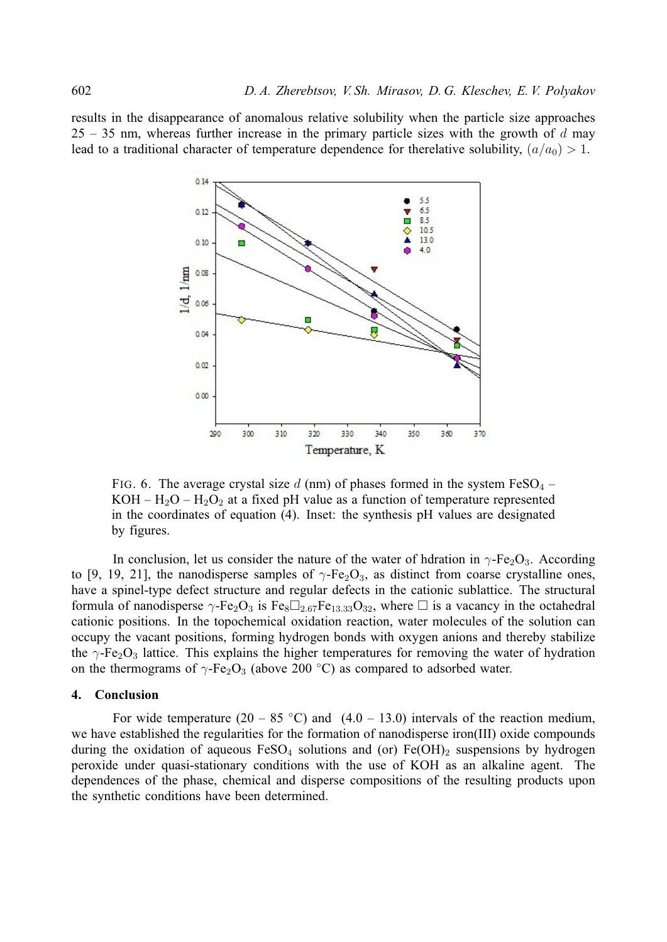results in the disappearance of anomalous relative solubility when the particle size approaches 25 – 35 nm, whereas further increase in the primary particle sizes with the growth of d may lead to a traditional character of temperature dependence for therelative solubility,  $(a/a_0) > 1$ .



FIG. 6. The average crystal size d (nm) of phases formed in the system  $FeSO<sub>4</sub>$  – KOH –  $H_2O - H_2O_2$  at a fixed pH value as a function of temperature represented in the coordinates of equation (4). Inset: the synthesis pH values are designated by figures.

In conclusion, let us consider the nature of the water of hdration in  $\gamma$ -Fe<sub>2</sub>O<sub>3</sub>. According to [9, 19, 21], the nanodisperse samples of  $\gamma$ -Fe<sub>2</sub>O<sub>3</sub>, as distinct from coarse crystalline ones, have a spinel-type defect structure and regular defects in the cationic sublattice. The structural formula of nanodisperse  $\gamma$ -Fe<sub>2</sub>O<sub>3</sub> is Fe<sub>8</sub> $\Box_{2.67}$ Fe<sub>13.33</sub>O<sub>32</sub>, where  $\Box$  is a vacancy in the octahedral cationic positions. In the topochemical oxidation reaction, water molecules of the solution can occupy the vacant positions, forming hydrogen bonds with oxygen anions and thereby stabilize the  $\gamma$ -Fe<sub>2</sub>O<sub>3</sub> lattice. This explains the higher temperatures for removing the water of hydration on the thermograms of  $\gamma$ -Fe<sub>2</sub>O<sub>3</sub> (above 200 °C) as compared to adsorbed water.

# **4. Conclusion**

For wide temperature  $(20 - 85 \degree C)$  and  $(4.0 - 13.0)$  intervals of the reaction medium, we have established the regularities for the formation of nanodisperse iron(III) oxide compounds during the oxidation of aqueous  $FeSO<sub>4</sub>$  solutions and (or)  $Fe(OH)<sub>2</sub>$  suspensions by hydrogen peroxide under quasi-stationary conditions with the use of KOH as an alkaline agent. The dependences of the phase, chemical and disperse compositions of the resulting products upon the synthetic conditions have been determined.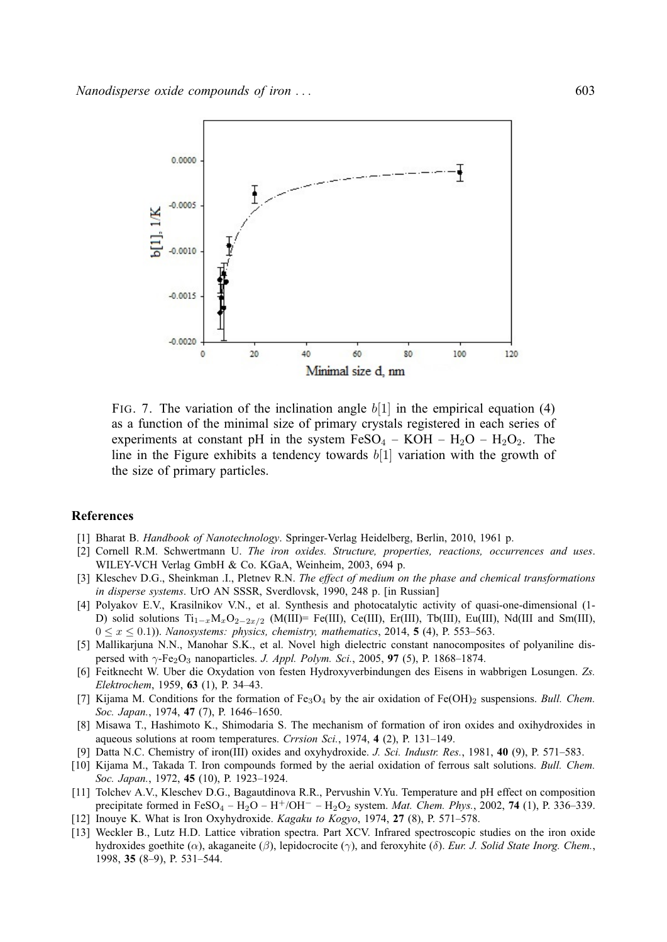

FIG. 7. The variation of the inclination angle  $b[1]$  in the empirical equation (4) as a function of the minimal size of primary crystals registered in each series of experiments at constant pH in the system  $FeSO_4 - KOH - H_2O - H_2O_2$ . The line in the Figure exhibits a tendency towards  $b[1]$  variation with the growth of the size of primary particles.

## **References**

- [1] Bharat B. *Handbook of Nanotechnology*. Springer-Verlag Heidelberg, Berlin, 2010, 1961 p.
- [2] Cornell R.M. Schwertmann U. *The iron oxides. Structure, properties, reactions, occurrences and uses*. WILEY-VCH Verlag GmbH & Co. KGaA, Weinheim, 2003, 694 p.
- [3] Kleschev D.G., Sheinkman .I., Pletnev R.N. *The effect of medium on the phase and chemical transformations in disperse systems*. UrO AN SSSR, Sverdlovsk, 1990, 248 p. [in Russian]
- [4] Polyakov E.V., Krasilnikov V.N., et al. Synthesis and photocatalytic activity of quasi-one-dimensional (1- D) solid solutions  $Ti_{1-x}M_xO_{2-2x/2}$  (M(III)= Fe(III), Ce(III), Er(III), Tb(III), Eu(III), Nd(III and Sm(III),  $0 \le x \le 0.1$ )). *Nanosystems: physics, chemistry, mathematics*, 2014, **5** (4), P. 553–563.
- [5] Mallikarjuna N.N., Manohar S.K., et al. Novel high dielectric constant nanocomposites of polyaniline dispersed with γ-Fe2O<sup>3</sup> nanoparticles. *J. Appl. Polym. Sci.*, 2005, **97** (5), P. 1868–1874.
- [6] Feitknecht W. Uber die Oxydation von festen Hydroxyverbindungen des Eisens in wabbrigen Losungen. *Zs. Elektrochem*, 1959, **63** (1), P. 34–43.
- [7] Kijama M. Conditions for the formation of Fe<sub>3</sub>O<sub>4</sub> by the air oxidation of Fe(OH)<sub>2</sub> suspensions. *Bull. Chem. Soc. Japan.*, 1974, **47** (7), P. 1646–1650.
- [8] Misawa T., Hashimoto K., Shimodaria S. The mechanism of formation of iron oxides and oxihydroxides in aqueous solutions at room temperatures. *Crrsion Sci.*, 1974, **4** (2), P. 131–149.
- [9] Datta N.C. Chemistry of iron(III) oxides and oxyhydroxide. *J. Sci. Industr. Res.*, 1981, **40** (9), P. 571–583.
- [10] Kijama M., Takada T. Iron compounds formed by the aerial oxidation of ferrous salt solutions. *Bull. Chem. Soc. Japan.*, 1972, **45** (10), P. 1923–1924.
- [11] Tolchev A.V., Kleschev D.G., Bagautdinova R.R., Pervushin V.Yu. Temperature and pH effect on composition precipitate formed in FeSO<sup>4</sup> – H2O – H<sup>+</sup>/OH<sup>−</sup> – H2O<sup>2</sup> system. *Mat. Chem. Phys.*, 2002, **74** (1), P. 336–339.
- [12] Inouye K. What is Iron Oxyhydroxide. *Kagaku to Kogyo*, 1974, **27** (8), P. 571–578.
- [13] Weckler B., Lutz H.D. Lattice vibration spectra. Part XCV. Infrared spectroscopic studies on the iron oxide hydroxides goethite (α), akaganeite (β), lepidocrocite (γ), and feroxyhite (δ). *Eur. J. Solid State Inorg. Chem.*, 1998, **35** (8–9), P. 531–544.